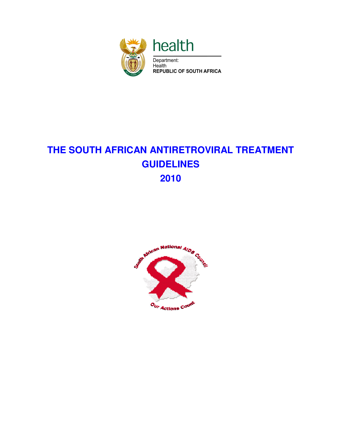

# **THE SOUTH AFRICAN ANTIRETROVIRAL TREATMENT GUIDELINES 2010**

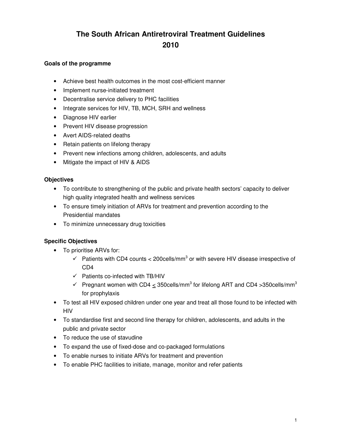## **The South African Antiretroviral Treatment Guidelines 2010**

#### **Goals of the programme**

- Achieve best health outcomes in the most cost-efficient manner
- Implement nurse-initiated treatment
- Decentralise service delivery to PHC facilities
- Integrate services for HIV, TB, MCH, SRH and wellness
- Diagnose HIV earlier
- Prevent HIV disease progression
- Avert AIDS-related deaths
- Retain patients on lifelong therapy
- Prevent new infections among children, adolescents, and adults
- Mitigate the impact of HIV & AIDS

#### **Objectives**

- To contribute to strengthening of the public and private health sectors' capacity to deliver high quality integrated health and wellness services
- To ensure timely initiation of ARVs for treatment and prevention according to the Presidential mandates
- To minimize unnecessary drug toxicities

#### **Specific Objectives**

- To prioritise ARVs for:
	- $\checkmark$  Patients with CD4 counts < 200cells/mm<sup>3</sup> or with severe HIV disease irrespective of CD4
	- $\checkmark$  Patients co-infected with TB/HIV
	- $\checkmark$  Pregnant women with CD4  $\leq$  350cells/mm<sup>3</sup> for lifelong ART and CD4 > 350cells/mm<sup>3</sup> for prophylaxis
- To test all HIV exposed children under one year and treat all those found to be infected with HIV
- To standardise first and second line therapy for children, adolescents, and adults in the public and private sector
- To reduce the use of stavudine
- To expand the use of fixed-dose and co-packaged formulations
- To enable nurses to initiate ARVs for treatment and prevention
- To enable PHC facilities to initiate, manage, monitor and refer patients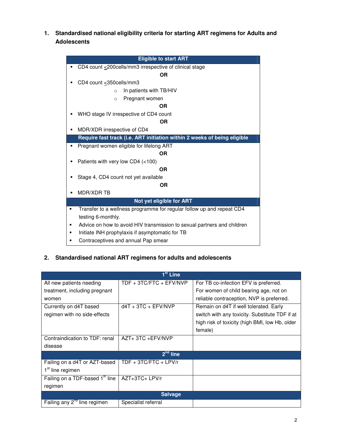**1. Standardised national eligibility criteria for starting ART regimens for Adults and Adolescents** 

| <b>Eligible to start ART</b>                                               |  |  |
|----------------------------------------------------------------------------|--|--|
| CD4 count <200cells/mm3 irrespective of clinical stage<br>п                |  |  |
| ΟR                                                                         |  |  |
| CD4 count $\leq$ 350cells/mm3                                              |  |  |
| In patients with TB/HIV<br>$\circ$                                         |  |  |
| Pregnant women<br>$\circ$                                                  |  |  |
| <b>OR</b>                                                                  |  |  |
| WHO stage IV irrespective of CD4 count                                     |  |  |
| 0R                                                                         |  |  |
| MDR/XDR irrespective of CD4<br>٠                                           |  |  |
| Require fast track (i.e. ART initiation within 2 weeks of being eligible   |  |  |
| Pregnant women eligible for lifelong ART<br>٠                              |  |  |
| <b>OR</b>                                                                  |  |  |
| Patients with very low CD4 (<100)<br>٠                                     |  |  |
| <b>OR</b>                                                                  |  |  |
| Stage 4, CD4 count not yet available                                       |  |  |
| ΟR                                                                         |  |  |
| MDR/XDR TB                                                                 |  |  |
| Not yet eligible for ART                                                   |  |  |
| Transfer to a wellness programme for regular follow up and repeat CD4<br>٠ |  |  |
| testing 6-monthly.                                                         |  |  |
| Advice on how to avoid HIV transmission to sexual partners and children    |  |  |
| Initiate INH prophylaxis if asymptomatic for TB                            |  |  |
| Contraceptives and annual Pap smear<br>٠                                   |  |  |

## **2. Standardised national ART regimens for adults and adolescents**

| 1 <sup>st</sup> Line                        |                            |                                                |  |
|---------------------------------------------|----------------------------|------------------------------------------------|--|
| All new patients needing                    | TDF + 3TC/FTC + $E$ FV/NVP | For TB co-infection EFV is preferred.          |  |
| treatment, including pregnant               |                            | For women of child bearing age, not on         |  |
| women                                       |                            | reliable contraception, NVP is preferred.      |  |
| Currently on d4T based                      | $d4T + 3TC + EFV/NVP$      | Remain on d4T if well tolerated. Early         |  |
| regimen with no side-effects                |                            | switch with any toxicity. Substitute TDF if at |  |
|                                             |                            | high risk of toxicity (high BMI, low Hb, older |  |
|                                             |                            | female)                                        |  |
| Contraindication to TDF: renal              | AZT+3TC+EFV/NVP            |                                                |  |
| disease                                     |                            |                                                |  |
| 2 <sup>nd</sup> line                        |                            |                                                |  |
| Failing on a d4T or AZT-based               | TDF + 3TC/FTC + LPV/r      |                                                |  |
| 1 <sup>st</sup> line regimen                |                            |                                                |  |
| Failing on a TDF-based 1 <sup>st</sup> line | AZT+3TC+ LPV/r             |                                                |  |
| regimen                                     |                            |                                                |  |
| <b>Salvage</b>                              |                            |                                                |  |
| Failing any 2 <sup>nd</sup> line regimen    | Specialist referral        |                                                |  |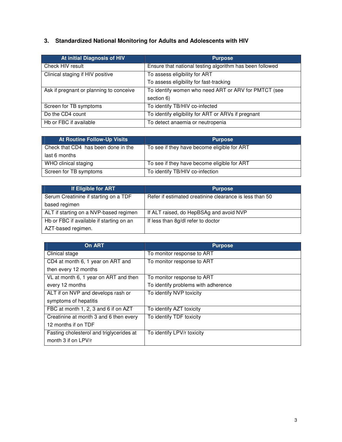## **3. Standardized National Monitoring for Adults and Adolescents with HIV**

| At initial Diagnosis of HIV             | <b>Purpose</b>                                           |  |
|-----------------------------------------|----------------------------------------------------------|--|
| Check HIV result                        | Ensure that national testing algorithm has been followed |  |
| Clinical staging if HIV positive        | To assess eligibility for ART                            |  |
|                                         | To assess eligibility for fast-tracking                  |  |
| Ask if pregnant or planning to conceive | To identify women who need ART or ARV for PMTCT (see     |  |
|                                         | section 6)                                               |  |
| Screen for TB symptoms                  | To identify TB/HIV co-infected                           |  |
| Do the CD4 count                        | To identify eligibility for ART or ARVs if pregnant      |  |
| Hb or FBC if available                  | To detect anaemia or neutropenia                         |  |

| <b>At Routine Follow-Up Visits</b>  | <b>Purpose</b>                              |
|-------------------------------------|---------------------------------------------|
| Check that CD4 has been done in the | To see if they have become eligible for ART |
| last 6 months                       |                                             |
| WHO clinical staging                | To see if they have become eligible for ART |
| Screen for TB symptoms              | To identify TB/HIV co-infection             |

| If Eligible for ART                      | <b>Purpose</b>                                          |
|------------------------------------------|---------------------------------------------------------|
| Serum Creatinine if starting on a TDF    | Refer if estimated creatinine clearance is less than 50 |
| based regimen                            |                                                         |
| ALT if starting on a NVP-based regimen   | If ALT raised, do HepBSAg and avoid NVP                 |
| Hb or FBC if available if starting on an | If less than 8g/dl refer to doctor                      |
| AZT-based regimen.                       |                                                         |

| On ART                                   | <b>Purpose</b>                      |
|------------------------------------------|-------------------------------------|
| Clinical stage                           | To monitor response to ART          |
| CD4 at month 6, 1 year on ART and        | To monitor response to ART          |
| then every 12 months                     |                                     |
| VL at month 6, 1 year on ART and then    | To monitor response to ART          |
| every 12 months                          | To identify problems with adherence |
| ALT if on NVP and develops rash or       | To identify NVP toxicity            |
| symptoms of hepatitis                    |                                     |
| FBC at month 1, 2, 3 and 6 if on AZT     | To identify AZT toxicity            |
| Creatinine at month 3 and 6 then every   | To identify TDF toxicity            |
| 12 months if on TDF                      |                                     |
| Fasting cholesterol and triglycerides at | To identify LPV/r toxicity          |
| month 3 if on LPV/r                      |                                     |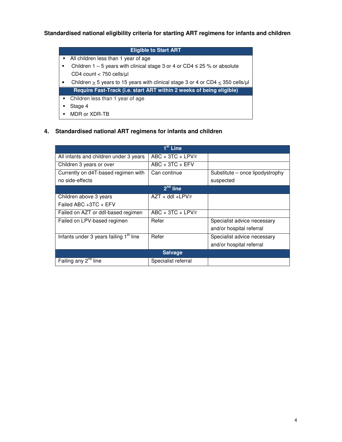#### **Standardised national eligibility criteria for starting ART regimens for infants and children**

## **Eligible to Start ART** - All children less than 1 year of age ■ Children 1 - 5 years with clinical stage 3 or 4 or CD4 ≤ 25 % or absolute CD4 count  $<$  750 cells/ $\mu$ l • Children  $\geq$  5 years to 15 years with clinical stage 3 or 4 or CD4  $\leq$  350 cells/ $\mu$ l **Require Fast-Track (i.e. start ART within 2 weeks of being eligible)** - Children less than 1 year of age - Stage 4

- MDR or XDR-TB

#### **4. Standardised national ART regimens for infants and children**

|                                                    | $1st$ Line          |                                 |
|----------------------------------------------------|---------------------|---------------------------------|
| All infants and children under 3 years             | $ABC + 3TC + LPV/r$ |                                 |
| Children 3 years or over                           | $ABC + 3TC + EFV$   |                                 |
| Currently on d4T-based regimen with                | Can continue        | Substitute – once lipodystrophy |
| no side-effects                                    |                     | suspected                       |
|                                                    | $2nd$ line          |                                 |
| Children above 3 years                             | $AZT + ddI + LPV/r$ |                                 |
| Failed ABC +3TC + EFV                              |                     |                                 |
| Failed on AZT or ddl-based regimen                 | $ABC + 3TC + LPV/r$ |                                 |
| Failed on LPV-based regimen                        | Refer               | Specialist advice necessary     |
|                                                    |                     | and/or hospital referral        |
| Infants under 3 years failing 1 <sup>st</sup> line | Refer               | Specialist advice necessary     |
|                                                    |                     | and/or hospital referral        |
| <b>Salvage</b>                                     |                     |                                 |
| Failing any 2 <sup>nd</sup> line                   | Specialist referral |                                 |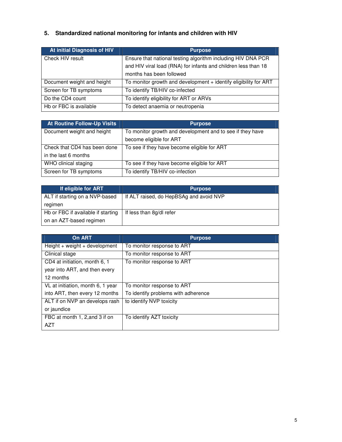## **5. Standardized national monitoring for infants and children with HIV**

| At initial Diagnosis of HIV | <b>Purpose</b>                                                   |
|-----------------------------|------------------------------------------------------------------|
| Check HIV result            | Ensure that national testing algorithm including HIV DNA PCR     |
|                             | and HIV viral load (RNA) for infants and children less than 18   |
|                             | months has been followed                                         |
| Document weight and height  | To monitor growth and development + identify eligibility for ART |
| Screen for TB symptoms      | To identify TB/HIV co-infected                                   |
| Do the CD4 count            | To identify eligibility for ART or ARVs                          |
| Hb or FBC is available      | To detect anaemia or neutropenia                                 |

| <b>At Routine Follow-Up Visits</b> | <b>Purpose</b>                                            |
|------------------------------------|-----------------------------------------------------------|
| Document weight and height         | To monitor growth and development and to see if they have |
|                                    | become eligible for ART                                   |
| Check that CD4 has been done       | To see if they have become eligible for ART               |
| in the last 6 months               |                                                           |
| WHO clinical staging               | To see if they have become eligible for ART               |
| Screen for TB symptoms             | To identify TB/HIV co-infection                           |

| If eligible for ART                | <b>Purpose</b>                          |
|------------------------------------|-----------------------------------------|
| ALT if starting on a NVP-based     | If ALT raised, do HepBSAg and avoid NVP |
| regimen                            |                                         |
| Hb or FBC if available if starting | If less than 8q/dl refer                |
| on an AZT-based regimen            |                                         |

| <b>On ART</b>                     | <b>Purpose</b>                      |
|-----------------------------------|-------------------------------------|
| $Height + weight + development$   | To monitor response to ART          |
| Clinical stage                    | To monitor response to ART          |
| CD4 at initiation, month 6, 1     | To monitor response to ART          |
| year into ART, and then every     |                                     |
| 12 months                         |                                     |
| VL at initiation, month 6, 1 year | To monitor response to ART          |
| into ART, then every 12 months    | To identify problems with adherence |
| ALT if on NVP an develops rash    | to identify NVP toxicity            |
| or jaundice                       |                                     |
| FBC at month 1, 2, and 3 if on    | To identify AZT toxicity            |
| <b>AZT</b>                        |                                     |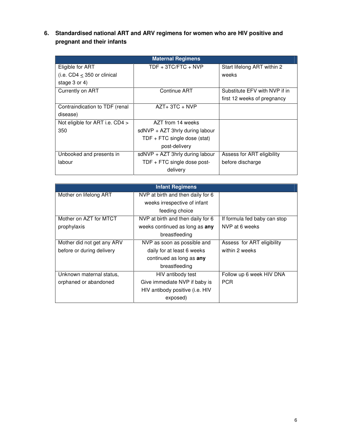**6. Standardised national ART and ARV regimens for women who are HIV positive and pregnant and their infants** 

| <b>Maternal Regimens</b>        |                                   |                               |
|---------------------------------|-----------------------------------|-------------------------------|
| Eligible for ART                | TDF + 3TC/FTC + NVP               | Start lifelong ART within 2   |
| (i.e. $CD4 < 350$ or clinical   |                                   | weeks                         |
| stage $3$ or $4$ )              |                                   |                               |
| Currently on ART                | Continue ART                      | Substitute EFV with NVP if in |
|                                 |                                   | first 12 weeks of pregnancy   |
| Contraindication to TDF (renal  | $AZT+3TC+NVP$                     |                               |
| disease)                        |                                   |                               |
| Not eligible for ART i.e. CD4 > | AZT from 14 weeks                 |                               |
| 350                             | sdNVP + AZT 3hrly during labour   |                               |
|                                 | TDF $+$ FTC single dose (stat)    |                               |
|                                 | post-delivery                     |                               |
| Unbooked and presents in        | $sdNVP + AZT$ 3hrly during labour | Assess for ART eligibility    |
| labour                          | TDF $+$ FTC single dose post-     | before discharge              |
|                                 | delivery                          |                               |

| <b>Infant Regimens</b>     |                                   |                              |
|----------------------------|-----------------------------------|------------------------------|
| Mother on lifelong ART     | NVP at birth and then daily for 6 |                              |
|                            | weeks irrespective of infant      |                              |
|                            | feeding choice                    |                              |
| Mother on AZT for MTCT     | NVP at birth and then daily for 6 | If formula fed baby can stop |
| prophylaxis                | weeks continued as long as any    | NVP at 6 weeks               |
|                            | breastfeeding                     |                              |
| Mother did not get any ARV | NVP as soon as possible and       | Assess for ART eligibility   |
| before or during delivery  | daily for at least 6 weeks        | within 2 weeks               |
|                            | continued as long as any          |                              |
|                            | breastfeeding                     |                              |
| Unknown maternal status,   | HIV antibody test                 | Follow up 6 week HIV DNA     |
| orphaned or abandoned      | Give immediate NVP if baby is     | <b>PCR</b>                   |
|                            | HIV antibody positive (i.e. HIV   |                              |
|                            | exposed)                          |                              |